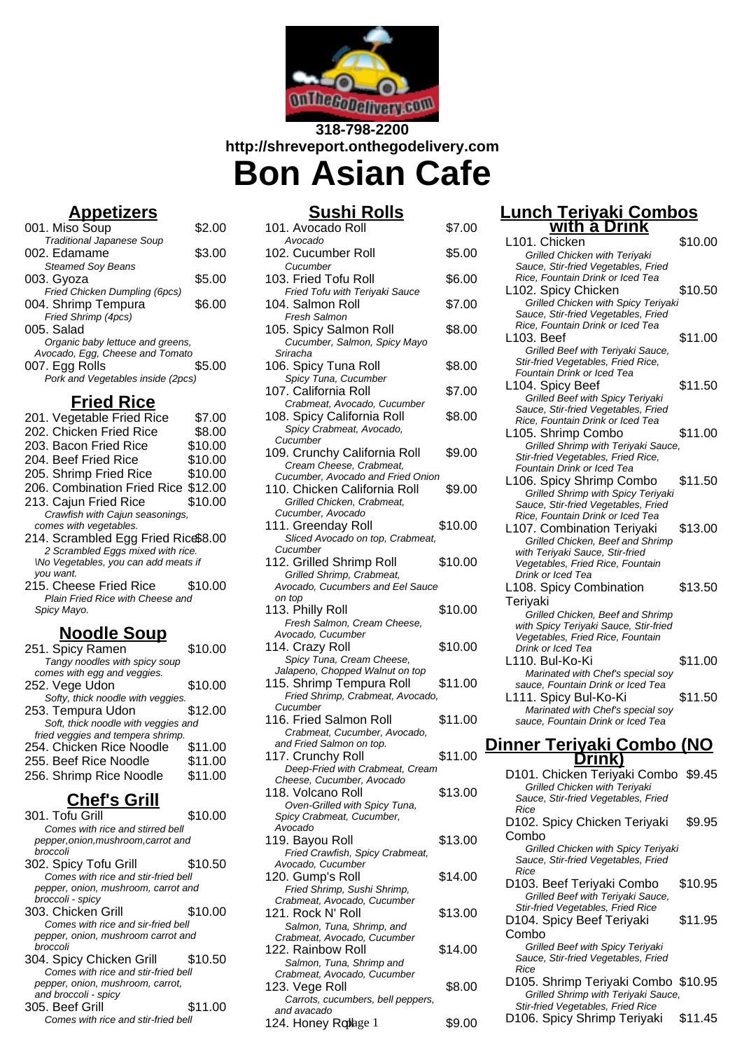

### **318-798-2200 http://shreveport.onthegodelivery.com Bon Asian Cafe**

# **Appetizers**

| 001. Miso Soup                    | \$2.00 |
|-----------------------------------|--------|
| <b>Traditional Japanese Soup</b>  |        |
| 002. Edamame                      | \$3.00 |
| <b>Steamed Soy Beans</b>          |        |
| 003. Gyoza                        | \$5.00 |
| Fried Chicken Dumpling (6pcs)     |        |
| 004. Shrimp Tempura               | \$6.00 |
| Fried Shrimp (4pcs)               |        |
| $005.$ Salad                      |        |
| Organic baby lettuce and greens,  |        |
| Avocado, Egg, Cheese and Tomato   |        |
| 007. Egg Rolls                    | \$5.00 |
| Pork and Vegetables inside (2pcs) |        |
|                                   |        |

### **Fried Rice**

| 201. Vegetable Fried Rice           | \$7.00  |
|-------------------------------------|---------|
| 202. Chicken Fried Rice             | \$8.00  |
| 203. Bacon Fried Rice               | \$10.00 |
| 204. Beef Fried Rice                | \$10.00 |
| 205. Shrimp Fried Rice              | \$10.00 |
| 206. Combination Fried Rice \$12.00 |         |
| 213. Cajun Fried Rice               | \$10.00 |
| Crawfish with Cajun seasonings,     |         |
| comes with vegetables.              |         |
| 214. Scrambled Egg Fried Rice\$8.00 |         |
| 2 Scrambled Eggs mixed with rice.   |         |
| Wo Vegetables, you can add meats if |         |
| you want.                           |         |
| 215. Cheese Fried Rice              | \$10.00 |
| Plain Fried Rice with Cheese and    |         |
|                                     |         |
| Spicy Mayo.                         |         |
|                                     |         |

#### **Noodle Soup**

| 251. Spicy Ramen                    | \$10.00 |
|-------------------------------------|---------|
| Tangy noodles with spicy soup       |         |
| comes with egg and veggies.         |         |
| 252. Vege Udon                      | \$10.00 |
| Softy, thick noodle with veggies.   |         |
| 253. Tempura Udon                   | \$12.00 |
| Soft, thick noodle with veggies and |         |
| fried veggies and tempera shrimp.   |         |
| 254. Chicken Rice Noodle            | \$11.00 |
| 255. Beef Rice Noodle               | \$11.00 |
| 256. Shrimp Rice Noodle             | \$11.00 |
|                                     |         |

## **Chef's Grill**

| 301. Tofu Grill                     | \$10.00 |
|-------------------------------------|---------|
| Comes with rice and stirred bell    |         |
| pepper, onion, mushroom, carrot and |         |
| hroccoli                            |         |
| 302. Spicy Tofu Grill               | \$10.50 |
| Comes with rice and stir-fried bell |         |
| pepper, onion, mushroom, carrot and |         |
| broccoli - spicy                    |         |
| 303. Chicken Grill                  | \$10.00 |
| Comes with rice and sir-fried bell  |         |
| pepper, onion, mushroom carrot and  |         |
| hroccoli                            |         |
| 304. Spicy Chicken Grill            | \$10.50 |
| Comes with rice and stir-fried bell |         |
| pepper, onion, mushroom, carrot,    |         |
| and broccoli - spicy                |         |
| 305. Beef Grill                     | \$11.00 |
| Comes with rice and stir-fried bell |         |

| <u>Sushi Rolls</u>                                                |         |
|-------------------------------------------------------------------|---------|
| 101. Avocado Roll<br>Avocado                                      | \$7.00  |
| 102. Cucumber Roll                                                | \$5.00  |
| Cucumber<br>103. Fried Tofu Roll                                  | \$6.00  |
| Fried Tofu with Teriyaki Sauce<br>104. Salmon Roll                | \$7.00  |
| Fresh Salmon<br>105. Spicy Salmon Roll                            | \$8.00  |
| Cucumber, Salmon, Spicy Mayo<br>Sriracha                          |         |
| 106. Spicy Tuna Roll                                              | \$8.00  |
| Spicy Tuna, Cucumber<br>107. California Roll                      | \$7.00  |
| Crabmeat, Avocado, Cucumber<br>108. Spicy California Roll         | \$8.00  |
| Spicy Crabmeat, Avocado,<br>Cucumber                              |         |
| 109. Crunchy California Roll<br>Cream Cheese, Crabmeat,           | \$9.00  |
| Cucumber, Avocado and Fried Onion<br>110. Chicken California Roll |         |
| Grilled Chicken, Crabmeat,                                        | \$9.00  |
| Cucumber, Avocado<br>111. Greenday Roll                           | \$10.00 |
| Sliced Avocado on top, Crabmeat,<br>Cucumber                      |         |
| 112. Grilled Shrimp Roll<br>Grilled Shrimp, Crabmeat,             | \$10.00 |
| Avocado, Cucumbers and Eel Sauce<br>on top                        |         |
| 113. Philly Roll                                                  | \$10.00 |
| Fresh Salmon, Cream Cheese,<br>Avocado, Cucumber                  |         |
| 114. Crazy Roll<br>Spicy Tuna, Cream Cheese,                      | \$10.00 |
| Jalapeno, Chopped Walnut on top<br>115. Shrimp Tempura Roll       | \$11.00 |
| Fried Shrimp, Crabmeat, Avocado,<br>Cucumber                      |         |
| 116. Fried Salmon Roll<br>Crabmeat, Cucumber, Avocado,            | \$11.00 |
| and Fried Salmon on top.                                          |         |
| 117. Crunchy Roll<br>Deep-Fried with Crabmeat, Cream              | \$11.00 |
| Cheese, Cucumber, Avocado<br>118. Volcano Roll                    | \$13.00 |
| Oven-Grilled with Spicy Tuna,<br>Spicy Crabmeat, Cucumber,        |         |
| Avocado<br>119. Bayou Roll                                        | \$13.00 |
| Fried Crawfish, Spicy Crabmeat,<br>Avocado, Cucumber              |         |
| 120. Gump's Roll                                                  | \$14.00 |
| Fried Shrimp, Sushi Shrimp,<br>Crabmeat, Avocado, Cucumber        |         |
| 121. Rock N' Roll<br>Salmon, Tuna, Shrimp, and                    | \$13.00 |
| Crabmeat, Avocado, Cucumber<br>122. Rainbow Roll                  | \$14.00 |
| Salmon, Tuna, Shrimp and                                          |         |

| Salmon, Tuna, Shrimp and          |        |
|-----------------------------------|--------|
| Crabmeat, Avocado, Cucumber       |        |
| 123. Vege Roll                    | \$8.00 |
| Carrots, cucumbers, bell peppers, |        |
| and avacado                       |        |
| 124. Honey Roplage 1              | \$9.00 |
|                                   |        |

#### **Lunch Teriyaki Combos with a Drink**

|                                   |         |                                                                                               | \$10.00 |
|-----------------------------------|---------|-----------------------------------------------------------------------------------------------|---------|
| r Roll                            | \$5.00  | L101. Chicken<br>Grilled Chicken with Teriyaki<br>Sauce, Stir-fried Vegetables, Fried         |         |
| ມ Roll                            | \$6.00  | Rice, Fountain Drink or Iced Tea<br>L102. Spicy Chicken                                       | \$10.50 |
| h Teriyaki Sauce<br>:oll          | \$7.00  | Grilled Chicken with Spicy Teriyaki<br>Sauce, Stir-fried Vegetables, Fried                    |         |
| mon Roll                          | \$8.00  | Rice, Fountain Drink or Iced Tea                                                              |         |
| almon, Spicy Mayo                 |         | L103. Beef<br>Grilled Beef with Teriyaki Sauce,                                               | \$11.00 |
| ıa Roll<br>ucumber:               | \$8.00  | Stir-fried Vegetables, Fried Rice,<br>Fountain Drink or Iced Tea                              |         |
| Roll<br>ocado, Cucumber           | \$7.00  | L104. Spicy Beef<br>Grilled Beef with Spicy Teriyaki                                          | \$11.50 |
| ifornia Roll<br>at, Avocado.      | \$8.00  | Sauce, Stir-fried Vegetables, Fried<br>Rice, Fountain Drink or Iced Tea<br>L105. Shrimp Combo | \$11.00 |
| California Roll<br>e, Crabmeat,   | \$9.00  | Grilled Shrimp with Teriyaki Sauce,<br>Stir-fried Vegetables, Fried Rice,                     |         |
| cado and Fried Onion              |         | Fountain Drink or Iced Tea<br>L106. Spicy Shrimp Combo                                        | \$11.50 |
| California Roll<br>∤n, Crabmeat,  | \$9.00  | Grilled Shrimp with Spicy Teriyaki<br>Sauce, Stir-fried Vegetables, Fried                     |         |
| cado<br><sup>,</sup> Roll         | \$10.00 | Rice, Fountain Drink or Iced Tea<br>L107. Combination Teriyaki                                | \$13.00 |
| to on top, Crabmeat,              |         | Grilled Chicken, Beef and Shrimp                                                              |         |
|                                   |         | with Teriyaki Sauce, Stir-fried                                                               |         |
| ırimp Roll<br>о, Crabmeat,        | \$10.00 | Vegetables, Fried Rice, Fountain<br>Drink or Iced Tea                                         |         |
| nbers and Eel Sauce               |         | L108. Spicy Combination                                                                       | \$13.50 |
|                                   |         | Teriyaki                                                                                      |         |
| ı, Cream Cheese,<br>nber          | \$10.00 | Grilled Chicken, Beef and Shrimp<br>with Spicy Teriyaki Sauce, Stir-fried                     |         |
|                                   | \$10.00 | Vegetables, Fried Rice, Fountain<br>Drink or Iced Tea                                         |         |
| ≿ream Cheese,                     |         | L110. Bul-Ko-Ki                                                                               | \$11.00 |
| ped Walnut on top                 |         | Marinated with Chef's special soy                                                             |         |
| empura Roll<br>Crabmeat, Avocado, | \$11.00 | sauce, Fountain Drink or Iced Tea<br>L111. Spicy Bul-Ko-Ki                                    | \$11.50 |
|                                   |         | Marinated with Chef's special soy                                                             |         |
| non Roll<br>ıcumber, Avocado,     | \$11.00 | sauce, Fountain Drink or Iced Tea                                                             |         |
| on on top.                        |         | <u>Dinner Teriyaki Combo (NO</u>                                                              |         |
| Roll                              | \$11.00 | Dri <u>nk)</u>                                                                                |         |
| ith Crabmeat, Cream               |         | D101. Chicken Teriyaki Combo \$9.45                                                           |         |
| ber, Avocado<br>lloS              | \$13.00 | Grilled Chicken with Teriyaki                                                                 |         |
| with Spicy Tuna,                  |         | Sauce, Stir-fried Vegetables, Fried<br>Rice                                                   |         |
| , Cucumber,                       |         | D102. Spicy Chicken Teriyaki                                                                  | \$9.95  |
| ۱I                                | \$13.00 | Combo                                                                                         |         |
| h, Spicy Crabmeat,<br>nber        |         | Grilled Chicken with Spicy Teriyaki<br>Sauce, Stir-fried Vegetables, Fried                    |         |
| :oll                              |         | Rice                                                                                          |         |
|                                   | \$14.00 |                                                                                               |         |
| Sushi Shrimp,                     |         | D103. Beef Teriyaki Combo                                                                     | \$10.95 |
| ado, Cucumber                     |         | Grilled Beef with Teriyaki Sauce,<br>Stir-fried Vegetables, Fried Rice                        |         |
| llo!                              | \$13.00 | D104. Spicy Beef Teriyaki                                                                     | \$11.95 |
| ı, Shrimp, and<br>ado, Cucumber   |         | Combo                                                                                         |         |
| Roll                              | \$14.00 | Grilled Beef with Spicy Teriyaki<br>Sauce, Stir-fried Vegetables, Fried                       |         |
| ı, Shrimp and<br>ado, Cucumber    |         | Rice                                                                                          |         |
| mbers, bell peppers,              | \$8.00  | D105. Shrimp Teriyaki Combo \$10.95<br>Grilled Shrimp with Teriyaki Sauce,                    |         |
| pblage 1                          | \$9.00  | Stir-fried Vegetables, Fried Rice<br>D106. Spicy Shrimp Teriyaki                              | \$11.45 |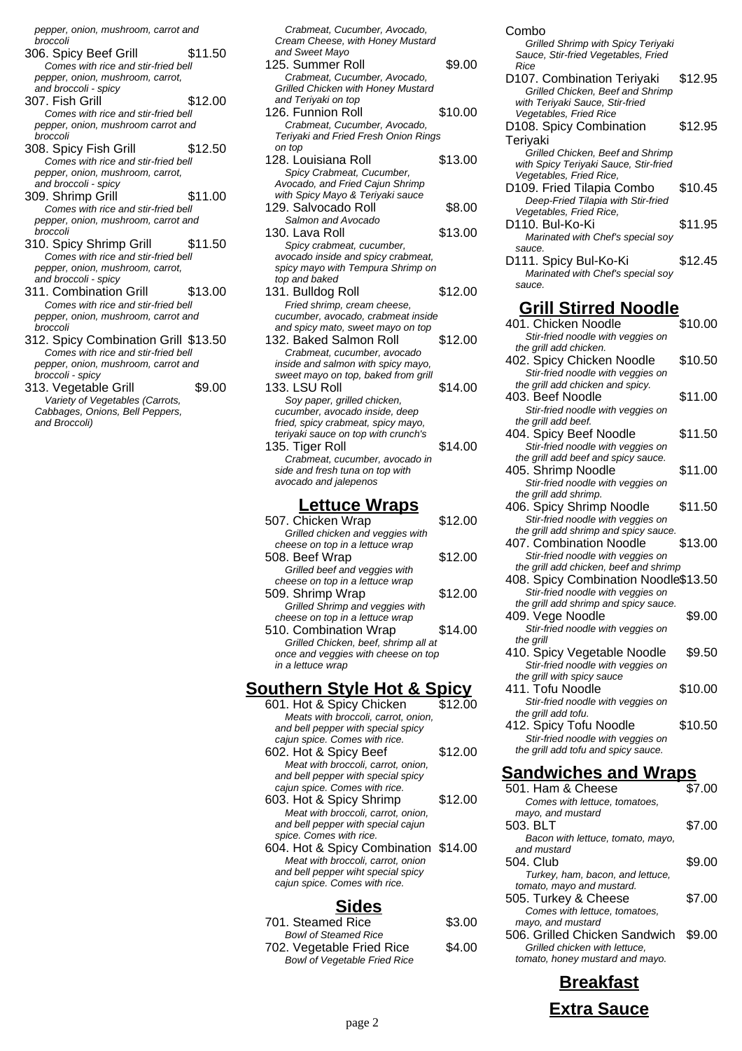pepper, onion, mushroom, carrot and broccoli

- 306. Spicy Beef Grill \$11.50 Comes with rice and stir-fried bell pepper, onion, mushroom, carrot, and broccoli - spicy
- 307. Fish Grill \$12.00 Comes with rice and stir-fried bell pepper, onion, mushroom carrot and broccoli
- 308. Spicy Fish Grill \$12.50 Comes with rice and stir-fried bell pepper, onion, mushroom, carrot, and broccoli - spicy
- 309. Shrimp Grill \$11.00 Comes with rice and stir-fried bell pepper, onion, mushroom, carrot and broccoli
- 310. Spicy Shrimp Grill \$11.50 Comes with rice and stir-fried bell pepper, onion, mushroom, carrot, and broccoli - spicy
- 311. Combination Grill \$13.00 Comes with rice and stir-fried bell pepper, onion, mushroom, carrot and broccoli
- 312. Spicy Combination Grill \$13.50 Comes with rice and stir-fried bell pepper, onion, mushroom, carrot and broccoli - spicy
- 313. Vegetable Grill \$9.00 Variety of Vegetables (Carrots, Cabbages, Onions, Bell Peppers, and Broccoli)

Crabmeat, Cucumber, Avocado, Cream Cheese, with Honey Mustard and Sweet Mayo

- 125. Summer Roll \$9.00 Crabmeat, Cucumber, Avocado, Grilled Chicken with Honey Mustard and Teriyaki on top 126. Funnion Roll \$10.00 Crabmeat, Cucumber, Avocado,
- Teriyaki and Fried Fresh Onion Rings on top 128. Louisiana Roll \$13.00 Spicy Crabmeat, Cucumber,
- Avocado, and Fried Cajun Shrimp with Spicy Mayo & Teriyaki sauce 129. Salvocado Roll \$8.00 Salmon and Avocado
- 130. Lava Roll \$13.00 Spicy crabmeat, cucumber, avocado inside and spicy crabmeat, spicy mayo with Tempura Shrimp on top and baked
- 131. Buildog Roll \$12.00 Fried shrimp, cream cheese, cucumber, avocado, crabmeat inside and spicy mato, sweet mayo on top 132. Baked Salmon Roll \$12.00
- Crabmeat, cucumber, avocado inside and salmon with spicy mayo, sweet mayo on top, baked from grill 133. LSU Roll \$14.00
- Soy paper, grilled chicken, cucumber, avocado inside, deep fried, spicy crabmeat, spicy mayo, teriyaki sauce on top with crunch's 135. Tiger Roll \$14.00
- Crabmeat, cucumber, avocado in side and fresh tuna on top with avocado and jalepenos

#### **Lettuce Wraps**

| 507. Chicken Wrap                    | \$12.00 |
|--------------------------------------|---------|
| Grilled chicken and veggies with     |         |
| cheese on top in a lettuce wrap      |         |
| 508. Beef Wrap                       | \$12.00 |
| Grilled beef and veggies with        |         |
| cheese on top in a lettuce wrap      |         |
| 509. Shrimp Wrap                     | \$12.00 |
| Grilled Shrimp and veggies with      |         |
| cheese on top in a lettuce wrap      |         |
| 510. Combination Wrap                | \$14.00 |
| Grilled Chicken, beef, shrimp all at |         |
| once and veggies with cheese on top  |         |
| in a lettuce wrap                    |         |

### **Southern Style Hot & Spicy**

601. Hot & Spicy Chicken \$12.00 Meats with broccoli, carrot, onion, and bell pepper with special spicy cajun spice. Comes with rice. 602. Hot & Spicy Beef \$12.00 Meat with broccoli, carrot, onion and bell pepper with special spicy cajun spice. Comes with rice. 603. Hot & Spicy Shrimp \$12.00 Meat with broccoli, carrot, onion, and bell pepper with special cajun spice. Comes with rice. 604. Hot & Spicy Combination \$14.00 Meat with broccoli, carrot, onion and bell pepper wiht special spicy cajun spice. Comes with rice.

#### **Sides**

| 701. Steamed Rice                   | \$3.00 |
|-------------------------------------|--------|
| <b>Bowl of Steamed Rice</b>         |        |
| 702. Vegetable Fried Rice           | \$4.00 |
| <b>Bowl of Vegetable Fried Rice</b> |        |

Combo Grilled Shrimp with Spicy Teriyaki Sauce, Stir-fried Vegetables, Fried Rice D107. Combination Teriyaki \$12.95 Grilled Chicken, Beef and Shrimp with Terivaki Sauce, Stir-fried Vegetables, Fried Rice D108. Spicy Combination Teriyaki \$12.95 Grilled Chicken, Beef and Shrimp with Spicy Teriyaki Sauce, Stir-fried Vegetables, Fried Rice, D109. Fried Tilapia Combo \$10.45 Deep-Fried Tilapia with Stir-fried Vegetables, Fried Rice, D110. Bul-Ko-Ki \$11.95 Marinated with Chef's special soy sauce. D111. Spicy Bul-Ko-Ki \$12.45 Marinated with Chef's special soy

#### **Grill Stirred Noodle**

sauce.

| 401. Chicken Noodle                                                        | \$10.00 |
|----------------------------------------------------------------------------|---------|
| Stir-fried noodle with veggies on                                          |         |
| the grill add chicken.                                                     |         |
| 402. Spicy Chicken Noodle                                                  | \$10.50 |
| Stir-fried noodle with veggies on                                          |         |
| the grill add chicken and spicy.                                           |         |
| 403. Beef Noodle                                                           | \$11.00 |
| Stir-fried noodle with veggies on                                          |         |
| the grill add beef.                                                        |         |
| 404. Spicy Beef Noodle                                                     | \$11.50 |
| Stir-fried noodle with veggies on                                          |         |
| the grill add beef and spicy sauce.                                        |         |
| 405. Shrimp Noodle                                                         | \$11.00 |
| Stir-fried noodle with veggies on                                          |         |
| the grill add shrimp.                                                      | \$11.50 |
| 406. Spicy Shrimp Noodle                                                   |         |
| Stir-fried noodle with veggies on<br>the grill add shrimp and spicy sauce. |         |
| 407. Combination Noodle                                                    | \$13.00 |
| Stir-fried noodle with veggies on                                          |         |
| the grill add chicken, beef and shrimp                                     |         |
| 408. Spicy Combination Noodle\$13.50                                       |         |
| Stir-fried noodle with veggies on                                          |         |
| the grill add shrimp and spicy sauce.                                      |         |
| 409. Vege Noodle                                                           | \$9.00  |
| Stir-fried noodle with veggies on                                          |         |
| the grill                                                                  |         |
| 410. Spicy Vegetable Noodle                                                | \$9.50  |
| Stir-fried noodle with veggies on                                          |         |
| the grill with spicy sauce                                                 |         |
| 411. Tofu Noodle                                                           | \$10.00 |
| Stir-fried noodle with veggies on                                          |         |
| the grill add tofu.                                                        |         |
| 412. Spicy Tofu Noodle                                                     | \$10.50 |
| Stir-fried noodle with veggies on                                          |         |
| the grill add tofu and spicy sauce.                                        |         |

#### **Sandwiches and Wraps**

| 501. Ham & Cheese                 | \$7.00 |
|-----------------------------------|--------|
| Comes with lettuce, tomatoes,     |        |
| mayo, and mustard                 |        |
| 503. BLT                          | \$7.00 |
| Bacon with lettuce, tomato, mayo, |        |
| and mustard                       |        |
| 504. Club                         | \$9.00 |
| Turkey, ham, bacon, and lettuce,  |        |
| tomato, mayo and mustard.         |        |
| 505. Turkey & Cheese              | \$7.00 |
| Comes with lettuce, tomatoes,     |        |
| mayo, and mustard                 |        |
| 506. Grilled Chicken Sandwich     | \$9.00 |
| Grilled chicken with lettuce,     |        |
| tomato, honey mustard and mayo.   |        |
|                                   |        |

**Breakfast Extra Sauce**